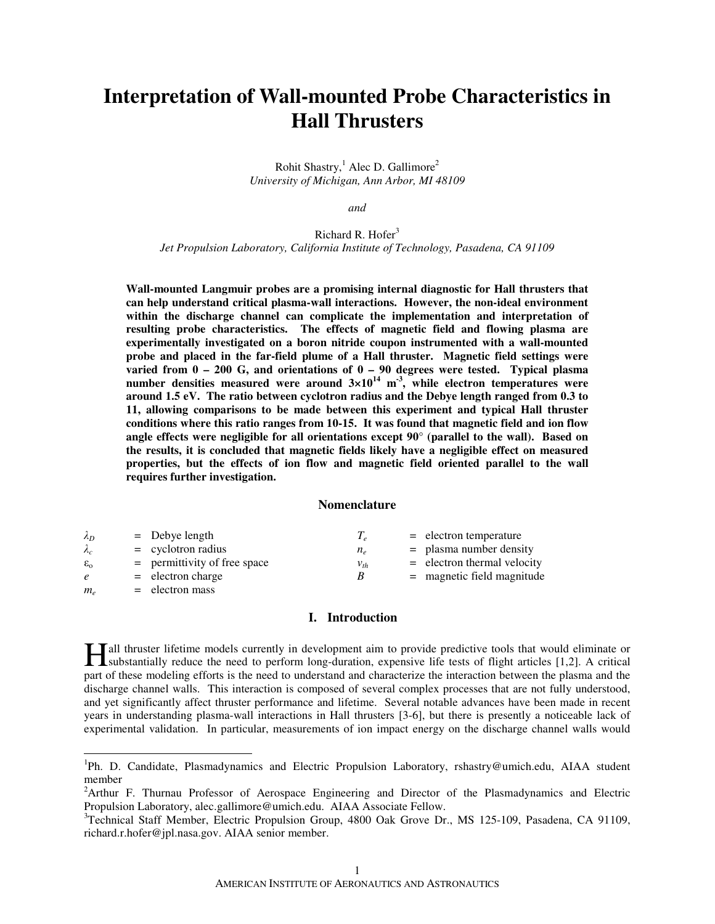# **Interpretation of Wall-mounted Probe Characteristics in Hall Thrusters**

Rohit Shastry,<sup>1</sup> Alec D. Gallimore<sup>2</sup> *University of Michigan, Ann Arbor, MI 48109* 

*and* 

Richard R. Hofer<sup>3</sup> *Jet Propulsion Laboratory, California Institute of Technology, Pasadena, CA 91109* 

**Wall-mounted Langmuir probes are a promising internal diagnostic for Hall thrusters that can help understand critical plasma-wall interactions. However, the non-ideal environment within the discharge channel can complicate the implementation and interpretation of resulting probe characteristics. The effects of magnetic field and flowing plasma are experimentally investigated on a boron nitride coupon instrumented with a wall-mounted probe and placed in the far-field plume of a Hall thruster. Magnetic field settings were varied from 0 – 200 G, and orientations of 0 – 90 degrees were tested. Typical plasma number densities measured were around**  $3 \times 10^{14}$  **m<sup>-3</sup>, while electron temperatures were around 1.5 eV. The ratio between cyclotron radius and the Debye length ranged from 0.3 to 11, allowing comparisons to be made between this experiment and typical Hall thruster conditions where this ratio ranges from 10-15. It was found that magnetic field and ion flow angle effects were negligible for all orientations except 90° (parallel to the wall). Based on the results, it is concluded that magnetic fields likely have a negligible effect on measured properties, but the effects of ion flow and magnetic field oriented parallel to the wall requires further investigation.** 

#### **Nomenclature**

| $\lambda_D$    | $=$ Debye length               | $T_e$       | $=$ electron temperature      |
|----------------|--------------------------------|-------------|-------------------------------|
| $\lambda_c$    | $=$ cyclotron radius           | $n_{\circ}$ | $=$ plasma number density     |
| $\epsilon_{0}$ | $=$ permittivity of free space | $v_{th}$    | $=$ electron thermal velocity |
| $\epsilon$     | $=$ electron charge            | B           | $=$ magnetic field magnitude  |
| $m_e$          | $=$ electron mass              |             |                               |

j

## **I. Introduction**

all thruster lifetime models currently in development aim to provide predictive tools that would eliminate or **Substantially reduce the need to perform long-duration, expensive life tests of flight articles [1,2].** A critical need to perform long-duration, expensive life tests of flight articles [1,2]. A critical need to perform i part of these modeling efforts is the need to understand and characterize the interaction between the plasma and the discharge channel walls. This interaction is composed of several complex processes that are not fully understood, and yet significantly affect thruster performance and lifetime. Several notable advances have been made in recent years in understanding plasma-wall interactions in Hall thrusters [3-6], but there is presently a noticeable lack of experimental validation. In particular, measurements of ion impact energy on the discharge channel walls would

<sup>&</sup>lt;sup>1</sup>Ph. D. Candidate, Plasmadynamics and Electric Propulsion Laboratory, rshastry@umich.edu, AIAA student member

<sup>2</sup>Arthur F. Thurnau Professor of Aerospace Engineering and Director of the Plasmadynamics and Electric Propulsion Laboratory, alec.gallimore@umich.edu. AIAA Associate Fellow.

<sup>&</sup>lt;sup>3</sup>Technical Staff Member, Electric Propulsion Group, 4800 Oak Grove Dr., MS 125-109, Pasadena, CA 91109, richard.r.hofer@jpl.nasa.gov. AIAA senior member.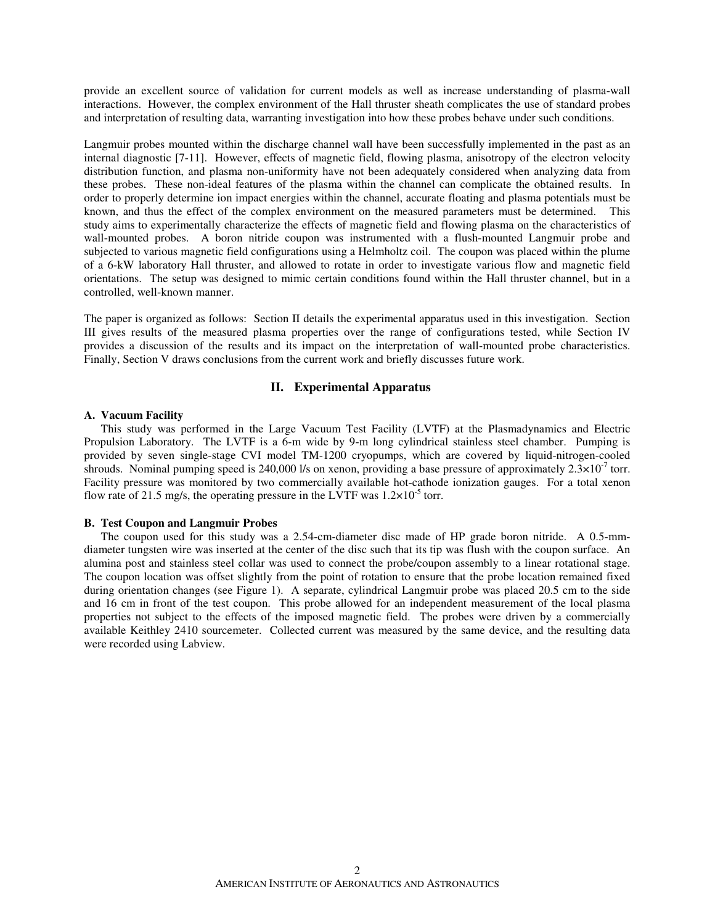provide an excellent source of validation for current models as well as increase understanding of plasma-wall interactions. However, the complex environment of the Hall thruster sheath complicates the use of standard probes and interpretation of resulting data, warranting investigation into how these probes behave under such conditions.

Langmuir probes mounted within the discharge channel wall have been successfully implemented in the past as an internal diagnostic [7-11]. However, effects of magnetic field, flowing plasma, anisotropy of the electron velocity distribution function, and plasma non-uniformity have not been adequately considered when analyzing data from these probes. These non-ideal features of the plasma within the channel can complicate the obtained results. In order to properly determine ion impact energies within the channel, accurate floating and plasma potentials must be known, and thus the effect of the complex environment on the measured parameters must be determined. This study aims to experimentally characterize the effects of magnetic field and flowing plasma on the characteristics of wall-mounted probes. A boron nitride coupon was instrumented with a flush-mounted Langmuir probe and subjected to various magnetic field configurations using a Helmholtz coil. The coupon was placed within the plume of a 6-kW laboratory Hall thruster, and allowed to rotate in order to investigate various flow and magnetic field orientations. The setup was designed to mimic certain conditions found within the Hall thruster channel, but in a controlled, well-known manner.

The paper is organized as follows: Section II details the experimental apparatus used in this investigation. Section III gives results of the measured plasma properties over the range of configurations tested, while Section IV provides a discussion of the results and its impact on the interpretation of wall-mounted probe characteristics. Finally, Section V draws conclusions from the current work and briefly discusses future work.

## **II. Experimental Apparatus**

#### **A. Vacuum Facility**

This study was performed in the Large Vacuum Test Facility (LVTF) at the Plasmadynamics and Electric Propulsion Laboratory. The LVTF is a 6-m wide by 9-m long cylindrical stainless steel chamber. Pumping is provided by seven single-stage CVI model TM-1200 cryopumps, which are covered by liquid-nitrogen-cooled shrouds. Nominal pumping speed is 240,000 l/s on xenon, providing a base pressure of approximately  $2.3 \times 10^{-7}$  torr. Facility pressure was monitored by two commercially available hot-cathode ionization gauges. For a total xenon flow rate of 21.5 mg/s, the operating pressure in the LVTF was  $1.2\times10^{-5}$  torr.

#### **B. Test Coupon and Langmuir Probes**

The coupon used for this study was a 2.54-cm-diameter disc made of HP grade boron nitride. A 0.5-mmdiameter tungsten wire was inserted at the center of the disc such that its tip was flush with the coupon surface. An alumina post and stainless steel collar was used to connect the probe/coupon assembly to a linear rotational stage. The coupon location was offset slightly from the point of rotation to ensure that the probe location remained fixed during orientation changes (see Figure 1). A separate, cylindrical Langmuir probe was placed 20.5 cm to the side and 16 cm in front of the test coupon. This probe allowed for an independent measurement of the local plasma properties not subject to the effects of the imposed magnetic field. The probes were driven by a commercially available Keithley 2410 sourcemeter. Collected current was measured by the same device, and the resulting data were recorded using Labview.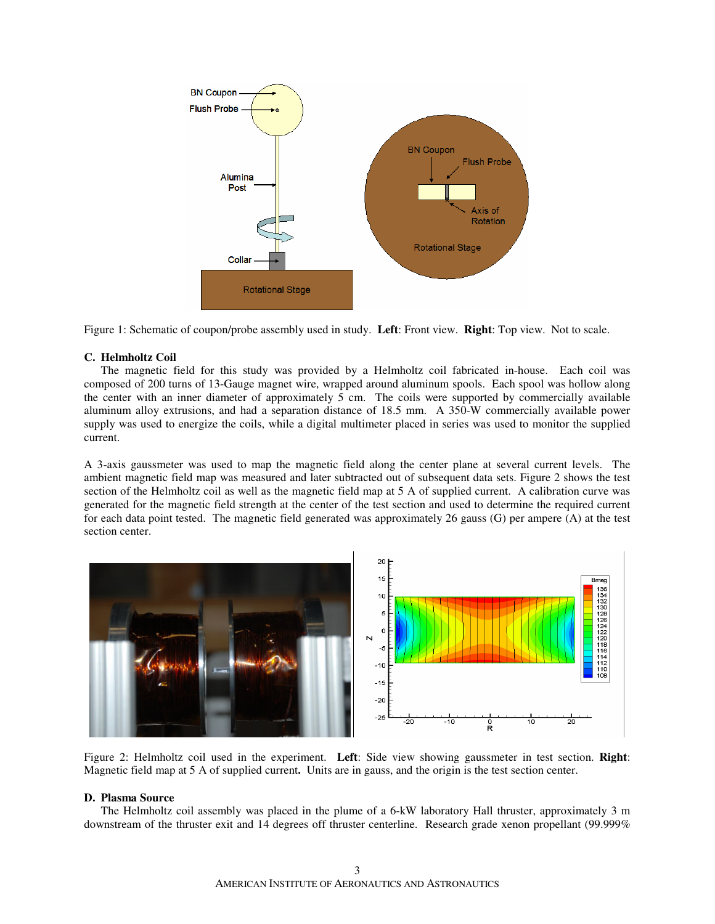

Figure 1: Schematic of coupon/probe assembly used in study. **Left**: Front view. **Right**: Top view. Not to scale.

## **C. Helmholtz Coil**

The magnetic field for this study was provided by a Helmholtz coil fabricated in-house. Each coil was composed of 200 turns of 13-Gauge magnet wire, wrapped around aluminum spools. Each spool was hollow along the center with an inner diameter of approximately 5 cm. The coils were supported by commercially available aluminum alloy extrusions, and had a separation distance of 18.5 mm. A 350-W commercially available power supply was used to energize the coils, while a digital multimeter placed in series was used to monitor the supplied current.

A 3-axis gaussmeter was used to map the magnetic field along the center plane at several current levels. The ambient magnetic field map was measured and later subtracted out of subsequent data sets. Figure 2 shows the test section of the Helmholtz coil as well as the magnetic field map at 5 A of supplied current. A calibration curve was generated for the magnetic field strength at the center of the test section and used to determine the required current for each data point tested. The magnetic field generated was approximately 26 gauss (G) per ampere (A) at the test section center.



Figure 2: Helmholtz coil used in the experiment. **Left**: Side view showing gaussmeter in test section. **Right**: Magnetic field map at 5 A of supplied current**.** Units are in gauss, and the origin is the test section center.

## **D. Plasma Source**

The Helmholtz coil assembly was placed in the plume of a 6-kW laboratory Hall thruster, approximately 3 m downstream of the thruster exit and 14 degrees off thruster centerline. Research grade xenon propellant (99.999%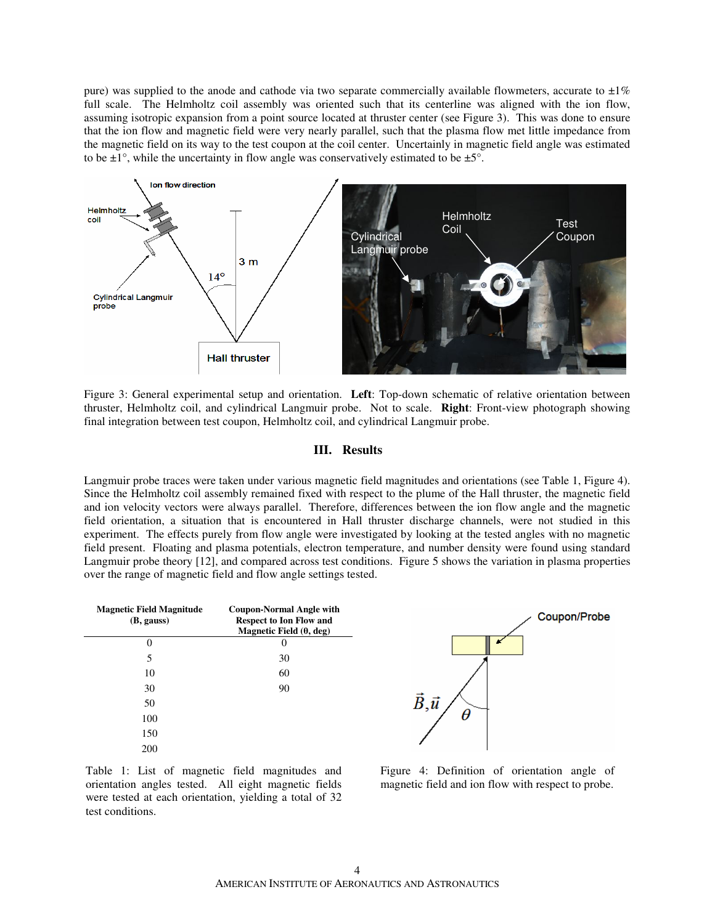pure) was supplied to the anode and cathode via two separate commercially available flowmeters, accurate to  $\pm 1\%$ full scale. The Helmholtz coil assembly was oriented such that its centerline was aligned with the ion flow, assuming isotropic expansion from a point source located at thruster center (see Figure 3). This was done to ensure that the ion flow and magnetic field were very nearly parallel, such that the plasma flow met little impedance from the magnetic field on its way to the test coupon at the coil center. Uncertainly in magnetic field angle was estimated to be  $\pm 1^{\circ}$ , while the uncertainty in flow angle was conservatively estimated to be  $\pm 5^{\circ}$ .



Figure 3: General experimental setup and orientation. **Left**: Top-down schematic of relative orientation between thruster, Helmholtz coil, and cylindrical Langmuir probe. Not to scale. **Right**: Front-view photograph showing final integration between test coupon, Helmholtz coil, and cylindrical Langmuir probe.

## **III. Results**

Langmuir probe traces were taken under various magnetic field magnitudes and orientations (see Table 1, Figure 4). Since the Helmholtz coil assembly remained fixed with respect to the plume of the Hall thruster, the magnetic field and ion velocity vectors were always parallel. Therefore, differences between the ion flow angle and the magnetic field orientation, a situation that is encountered in Hall thruster discharge channels, were not studied in this experiment. The effects purely from flow angle were investigated by looking at the tested angles with no magnetic field present. Floating and plasma potentials, electron temperature, and number density were found using standard Langmuir probe theory [12], and compared across test conditions. Figure 5 shows the variation in plasma properties over the range of magnetic field and flow angle settings tested.

| <b>Magnetic Field Magnitude</b><br>(B, gauss) | <b>Coupon-Normal Angle with</b><br><b>Respect to Ion Flow and</b><br>Magnetic Field $(\theta, deg)$ | Coupon/Probe     |
|-----------------------------------------------|-----------------------------------------------------------------------------------------------------|------------------|
| $\theta$                                      | 0                                                                                                   |                  |
|                                               | 30                                                                                                  |                  |
| 10                                            | 60                                                                                                  |                  |
| 30                                            | 90                                                                                                  |                  |
| 50                                            |                                                                                                     | ∸<br>$B,\vec{u}$ |
| 100                                           |                                                                                                     | $\theta$         |
| 150                                           |                                                                                                     |                  |
| 200                                           |                                                                                                     |                  |

Table 1: List of magnetic field magnitudes and orientation angles tested. All eight magnetic fields were tested at each orientation, yielding a total of 32 test conditions.

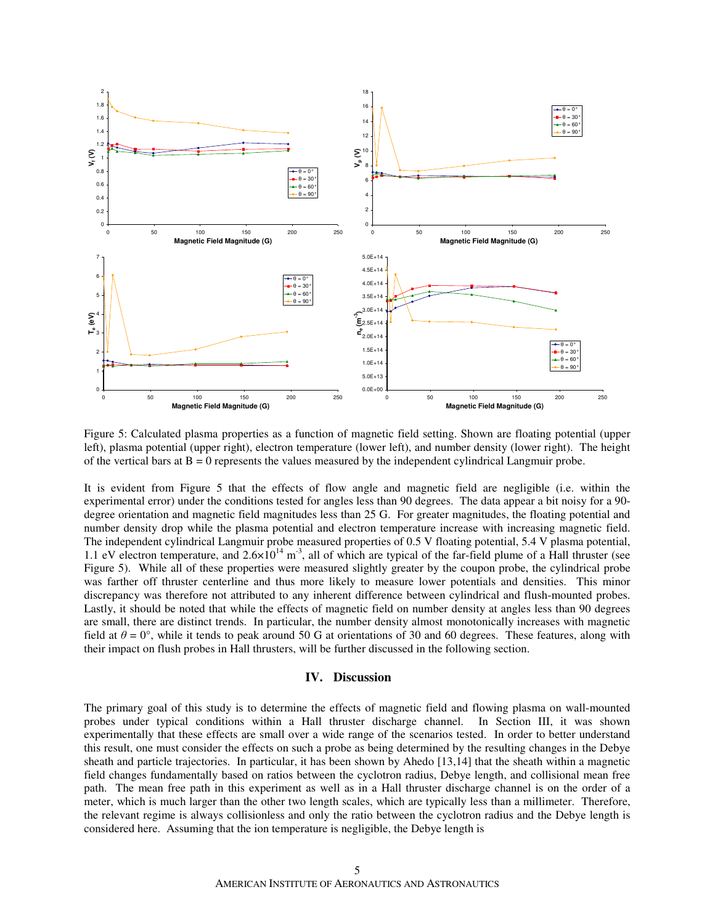

Figure 5: Calculated plasma properties as a function of magnetic field setting. Shown are floating potential (upper left), plasma potential (upper right), electron temperature (lower left), and number density (lower right). The height of the vertical bars at  $B = 0$  represents the values measured by the independent cylindrical Langmuir probe.

It is evident from Figure 5 that the effects of flow angle and magnetic field are negligible (i.e. within the experimental error) under the conditions tested for angles less than 90 degrees. The data appear a bit noisy for a 90 degree orientation and magnetic field magnitudes less than 25 G. For greater magnitudes, the floating potential and number density drop while the plasma potential and electron temperature increase with increasing magnetic field. The independent cylindrical Langmuir probe measured properties of 0.5 V floating potential, 5.4 V plasma potential, 1.1 eV electron temperature, and  $2.6 \times 10^{14}$  m<sup>-3</sup>, all of which are typical of the far-field plume of a Hall thruster (see Figure 5). While all of these properties were measured slightly greater by the coupon probe, the cylindrical probe was farther off thruster centerline and thus more likely to measure lower potentials and densities. This minor discrepancy was therefore not attributed to any inherent difference between cylindrical and flush-mounted probes. Lastly, it should be noted that while the effects of magnetic field on number density at angles less than 90 degrees are small, there are distinct trends. In particular, the number density almost monotonically increases with magnetic field at  $\theta = 0^{\circ}$ , while it tends to peak around 50 G at orientations of 30 and 60 degrees. These features, along with their impact on flush probes in Hall thrusters, will be further discussed in the following section.

#### **IV. Discussion**

The primary goal of this study is to determine the effects of magnetic field and flowing plasma on wall-mounted probes under typical conditions within a Hall thruster discharge channel. In Section III, it was shown experimentally that these effects are small over a wide range of the scenarios tested. In order to better understand this result, one must consider the effects on such a probe as being determined by the resulting changes in the Debye sheath and particle trajectories. In particular, it has been shown by Ahedo [13,14] that the sheath within a magnetic field changes fundamentally based on ratios between the cyclotron radius, Debye length, and collisional mean free path. The mean free path in this experiment as well as in a Hall thruster discharge channel is on the order of a meter, which is much larger than the other two length scales, which are typically less than a millimeter. Therefore, the relevant regime is always collisionless and only the ratio between the cyclotron radius and the Debye length is considered here. Assuming that the ion temperature is negligible, the Debye length is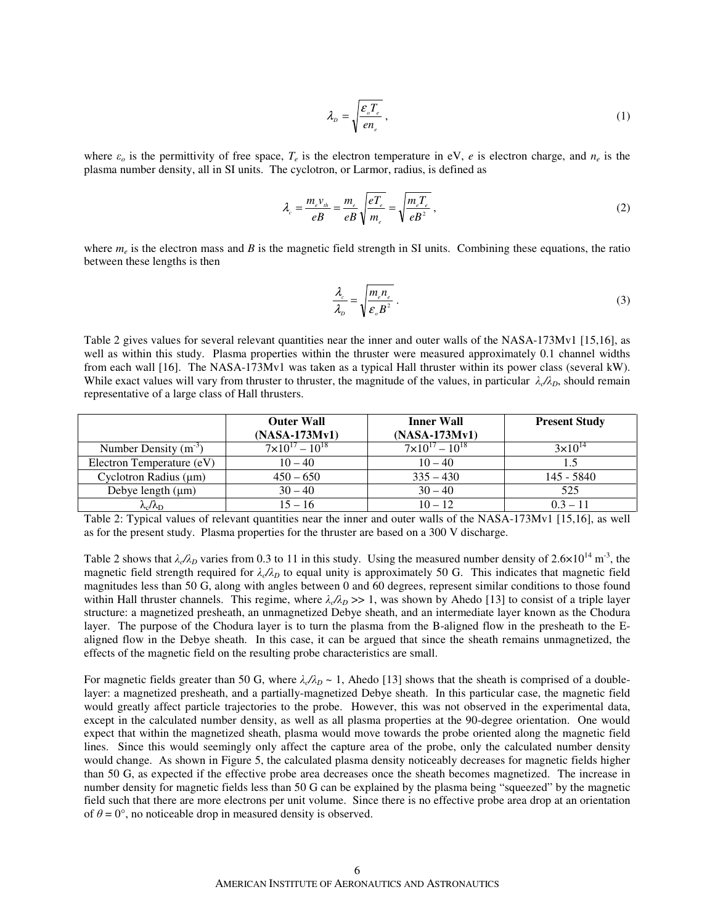$$
\lambda_{\scriptscriptstyle D} = \sqrt{\frac{\varepsilon_{\scriptscriptstyle \circ} T_{\scriptscriptstyle e}}{e n_{\scriptscriptstyle e}}}\,,\tag{1}
$$

where  $\varepsilon_o$  is the permittivity of free space,  $T_e$  is the electron temperature in eV, *e* is electron charge, and  $n_e$  is the plasma number density, all in SI units. The cyclotron, or Larmor, radius, is defined as

$$
\lambda_c = \frac{m_e v_{th}}{eB} = \frac{m_e}{eB} \sqrt{\frac{eT_e}{m_e}} = \sqrt{\frac{m_e T_e}{eB^2}} \,,\tag{2}
$$

where  $m_e$  is the electron mass and *B* is the magnetic field strength in SI units. Combining these equations, the ratio between these lengths is then

$$
\frac{\lambda_c}{\lambda_D} = \sqrt{\frac{m_e n_e}{\varepsilon_o B^2}}.
$$
\n(3)

Table 2 gives values for several relevant quantities near the inner and outer walls of the NASA-173Mv1 [15,16], as well as within this study. Plasma properties within the thruster were measured approximately 0.1 channel widths from each wall [16]. The NASA-173Mv1 was taken as a typical Hall thruster within its power class (several kW). While exact values will vary from thruster to thruster, the magnitude of the values, in particular  $\lambda_c/\lambda_D$ , should remain representative of a large class of Hall thrusters.

|                            | <b>Outer Wall</b>            | <b>Inner Wall</b>            | <b>Present Study</b> |
|----------------------------|------------------------------|------------------------------|----------------------|
|                            | $(NASA-173Mv1)$              | (NASA-173Mv1)                |                      |
| Number Density $(m^{-3})$  | $7 \times 10^{17} - 10^{18}$ | $7 \times 10^{17} - 10^{18}$ | $3 \times 10^{14}$   |
| Electron Temperature (eV)  | $10 - 40$                    | $10 - 40$                    |                      |
| Cyclotron Radius $(\mu m)$ | $450 - 650$                  | $335 - 430$                  | 145 - 5840           |
| Debye length $(\mu m)$     | $30 - 40$                    | $30 - 40$                    | 525                  |
| $\lambda_c/\lambda_D$      | $15 - 16$                    | $10 - 12$                    | $0.3 - 11$           |

Table 2: Typical values of relevant quantities near the inner and outer walls of the NASA-173Mv1 [15,16], as well as for the present study. Plasma properties for the thruster are based on a 300 V discharge.

Table 2 shows that  $\lambda_c/\lambda_D$  varies from 0.3 to 11 in this study. Using the measured number density of 2.6×10<sup>14</sup> m<sup>-3</sup>, the magnetic field strength required for  $\lambda_c/\lambda_D$  to equal unity is approximately 50 G. This indicates that magnetic field magnitudes less than 50 G, along with angles between 0 and 60 degrees, represent similar conditions to those found within Hall thruster channels. This regime, where  $\lambda_c/\lambda_D$  >> 1, was shown by Ahedo [13] to consist of a triple layer structure: a magnetized presheath, an unmagnetized Debye sheath, and an intermediate layer known as the Chodura layer. The purpose of the Chodura layer is to turn the plasma from the B-aligned flow in the presheath to the Ealigned flow in the Debye sheath. In this case, it can be argued that since the sheath remains unmagnetized, the effects of the magnetic field on the resulting probe characteristics are small.

For magnetic fields greater than 50 G, where  $\lambda_c/\lambda_D \sim 1$ , Ahedo [13] shows that the sheath is comprised of a doublelayer: a magnetized presheath, and a partially-magnetized Debye sheath. In this particular case, the magnetic field would greatly affect particle trajectories to the probe. However, this was not observed in the experimental data, except in the calculated number density, as well as all plasma properties at the 90-degree orientation. One would expect that within the magnetized sheath, plasma would move towards the probe oriented along the magnetic field lines. Since this would seemingly only affect the capture area of the probe, only the calculated number density would change. As shown in Figure 5, the calculated plasma density noticeably decreases for magnetic fields higher than 50 G, as expected if the effective probe area decreases once the sheath becomes magnetized. The increase in number density for magnetic fields less than 50 G can be explained by the plasma being "squeezed" by the magnetic field such that there are more electrons per unit volume. Since there is no effective probe area drop at an orientation of  $\theta = 0^{\circ}$ , no noticeable drop in measured density is observed.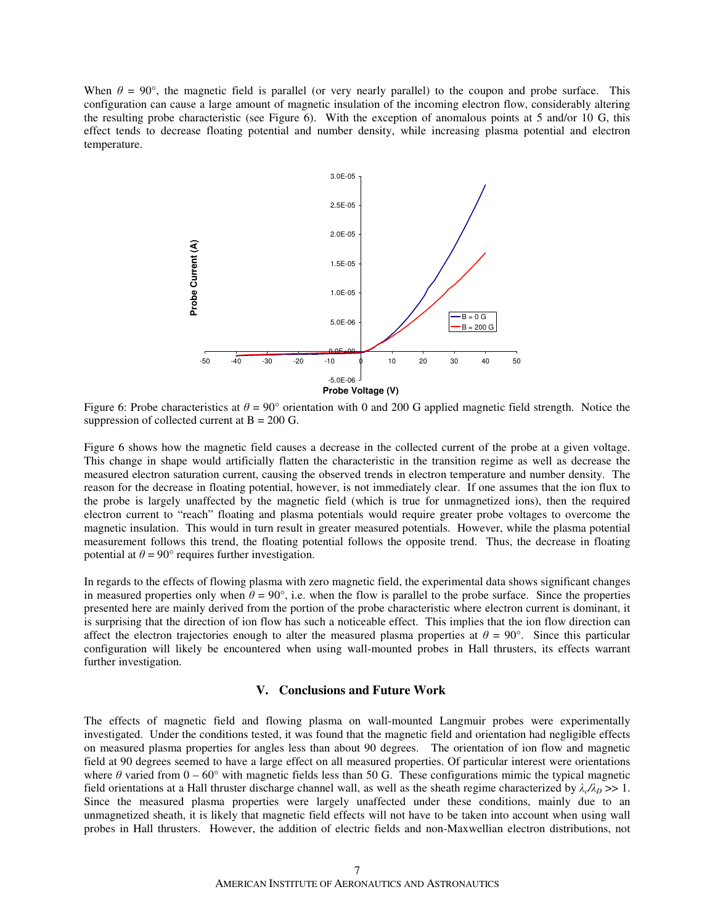When  $\theta = 90^{\circ}$ , the magnetic field is parallel (or very nearly parallel) to the coupon and probe surface. This configuration can cause a large amount of magnetic insulation of the incoming electron flow, considerably altering the resulting probe characteristic (see Figure 6). With the exception of anomalous points at 5 and/or 10 G, this effect tends to decrease floating potential and number density, while increasing plasma potential and electron temperature.



Figure 6: Probe characteristics at  $\theta = 90^\circ$  orientation with 0 and 200 G applied magnetic field strength. Notice the suppression of collected current at  $B = 200$  G.

Figure 6 shows how the magnetic field causes a decrease in the collected current of the probe at a given voltage. This change in shape would artificially flatten the characteristic in the transition regime as well as decrease the measured electron saturation current, causing the observed trends in electron temperature and number density. The reason for the decrease in floating potential, however, is not immediately clear. If one assumes that the ion flux to the probe is largely unaffected by the magnetic field (which is true for unmagnetized ions), then the required electron current to "reach" floating and plasma potentials would require greater probe voltages to overcome the magnetic insulation. This would in turn result in greater measured potentials. However, while the plasma potential measurement follows this trend, the floating potential follows the opposite trend. Thus, the decrease in floating potential at  $\theta = 90^{\circ}$  requires further investigation.

In regards to the effects of flowing plasma with zero magnetic field, the experimental data shows significant changes in measured properties only when  $\theta = 90^{\circ}$ , i.e. when the flow is parallel to the probe surface. Since the properties presented here are mainly derived from the portion of the probe characteristic where electron current is dominant, it is surprising that the direction of ion flow has such a noticeable effect. This implies that the ion flow direction can affect the electron trajectories enough to alter the measured plasma properties at  $\theta = 90^{\circ}$ . Since this particular configuration will likely be encountered when using wall-mounted probes in Hall thrusters, its effects warrant further investigation.

## **V. Conclusions and Future Work**

The effects of magnetic field and flowing plasma on wall-mounted Langmuir probes were experimentally investigated. Under the conditions tested, it was found that the magnetic field and orientation had negligible effects on measured plasma properties for angles less than about 90 degrees. The orientation of ion flow and magnetic field at 90 degrees seemed to have a large effect on all measured properties. Of particular interest were orientations where  $\theta$  varied from  $0 - 60^{\circ}$  with magnetic fields less than 50 G. These configurations mimic the typical magnetic field orientations at a Hall thruster discharge channel wall, as well as the sheath regime characterized by  $\lambda_c/\lambda_D$  >> 1. Since the measured plasma properties were largely unaffected under these conditions, mainly due to an unmagnetized sheath, it is likely that magnetic field effects will not have to be taken into account when using wall probes in Hall thrusters. However, the addition of electric fields and non-Maxwellian electron distributions, not